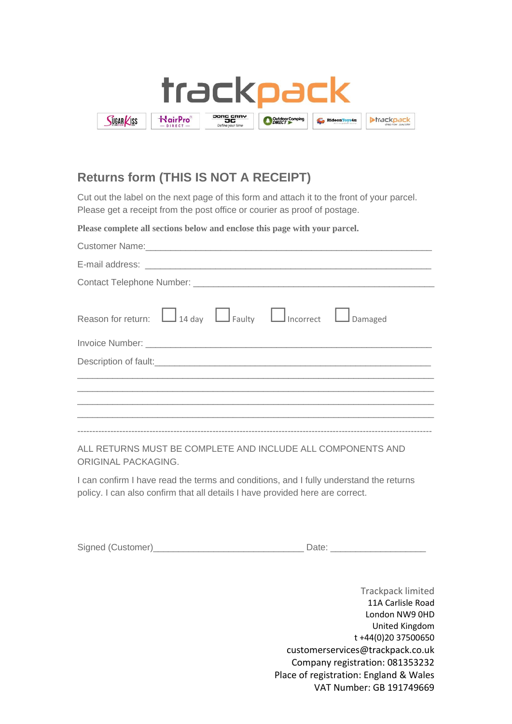

## **Returns form (THIS IS NOT A RECEIPT)**

Cut out the label on the next page of this form and attach it to the front of your parcel. Please get a receipt from the post office or courier as proof of postage.

**Please complete all sections below and enclose this page with your parcel.**

| Reason for return: $\Box$ 14 day $\Box$ Faulty $\Box$ Incorrect $\Box$ Damaged                                        |
|-----------------------------------------------------------------------------------------------------------------------|
|                                                                                                                       |
|                                                                                                                       |
| <u> 1989 - Johann Harry Harry Harry Harry Harry Harry Harry Harry Harry Harry Harry Harry Harry Harry Harry Harry</u> |
|                                                                                                                       |
|                                                                                                                       |
|                                                                                                                       |

ALL RETURNS MUST BE COMPLETE AND INCLUDE ALL COMPONENTS AND ORIGINAL PACKAGING.

I can confirm I have read the terms and conditions, and I fully understand the returns policy. I can also confirm that all details I have provided here are correct.

|  | Signed (Customer) |  |  |  |
|--|-------------------|--|--|--|
|--|-------------------|--|--|--|

Trackpack limited 11A Carlisle Road London NW9 0HD United Kingdom t +44(0)20 37500650 customerservices@trackpack.co.uk Company registration: 081353232 Place of registration: England & Wales VAT Number: GB 191749669